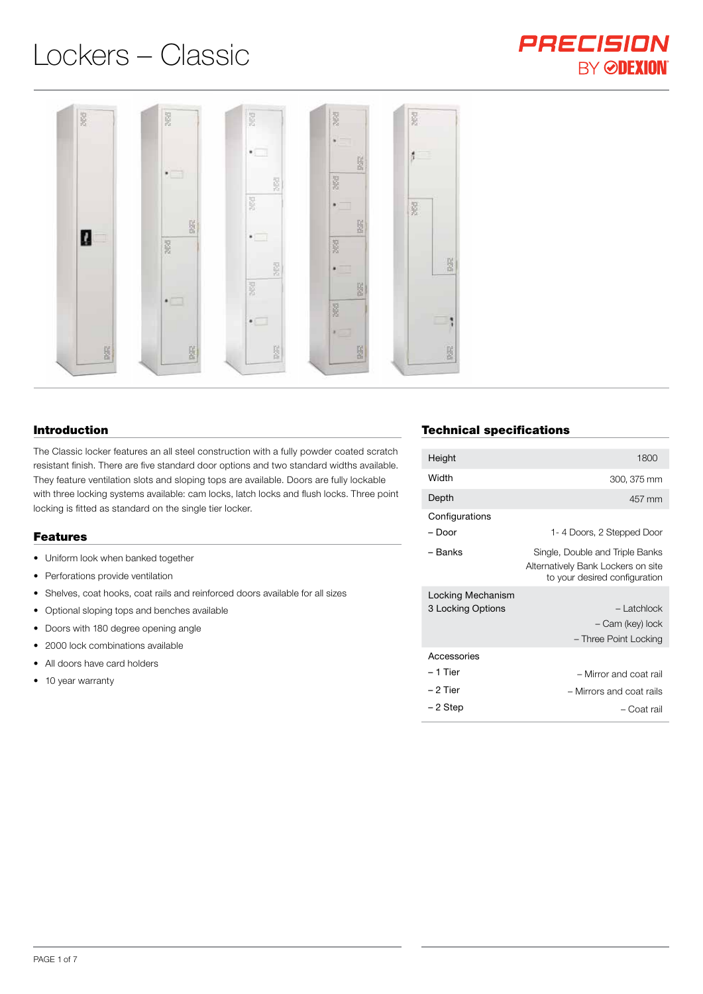# Lockers – Classic



#### Introduction

The Classic locker features an all steel construction with a fully powder coated scratch resistant finish. There are five standard door options and two standard widths available. They feature ventilation slots and sloping tops are available. Doors are fully lockable with three locking systems available: cam locks, latch locks and flush locks. Three point locking is fitted as standard on the single tier locker.

#### Features

- Uniform look when banked together
- Perforations provide ventilation
- Shelves, coat hooks, coat rails and reinforced doors available for all sizes
- Optional sloping tops and benches available
- Doors with 180 degree opening angle
- 2000 lock combinations available
- All doors have card holders
- 10 year warranty

# Technical specifications

| Height                                 | 1800                                                                                                   |
|----------------------------------------|--------------------------------------------------------------------------------------------------------|
| Width                                  | 300, 375 mm                                                                                            |
| Depth                                  | 457 mm                                                                                                 |
| Configurations<br>– Door               | 1- 4 Doors, 2 Stepped Door                                                                             |
| – Banks                                | Single, Double and Triple Banks<br>Alternatively Bank Lockers on site<br>to your desired configuration |
| Locking Mechanism<br>3 Locking Options | - Latchlock<br>- Cam (key) lock<br>- Three Point Locking                                               |
| Accessories                            |                                                                                                        |
| – 1 Tier                               | - Mirror and coat rail                                                                                 |
| – 2 Tier                               | - Mirrors and coat rails                                                                               |
| – 2 Step                               | – Coat rail                                                                                            |

PRECISION

**BY ØDEXION**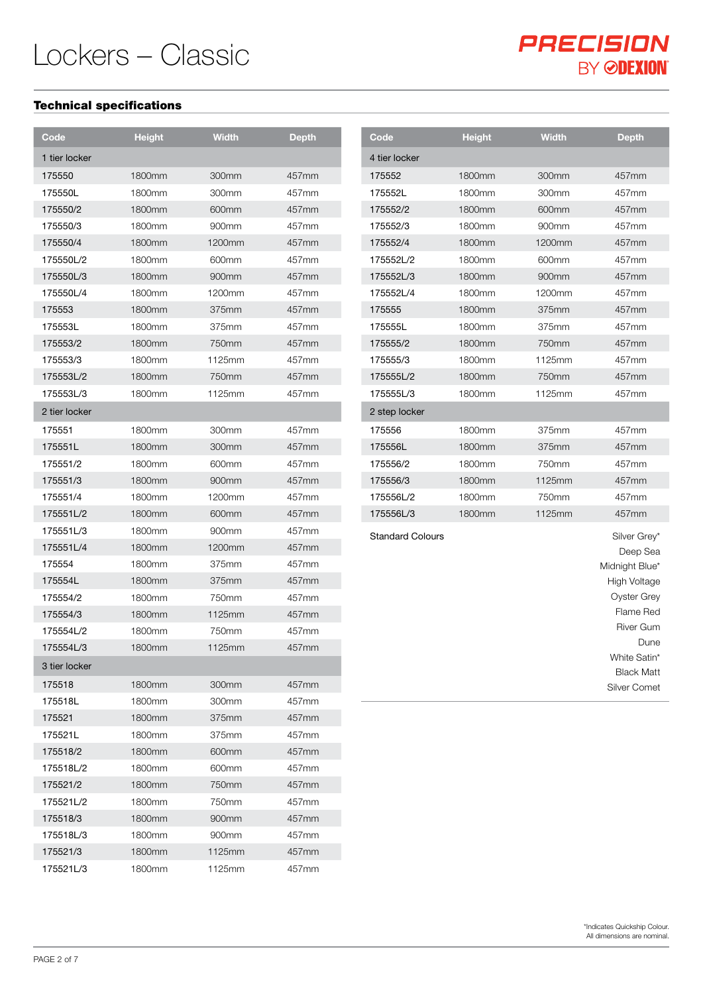#### Technical specifications

| Code          | <b>Height</b> | <b>Width</b> | <b>Depth</b> | Code                    | <b>Height</b> | <b>Width</b> |
|---------------|---------------|--------------|--------------|-------------------------|---------------|--------------|
| 1 tier locker |               |              |              | 4 tier locker           |               |              |
| 175550        | 1800mm        | 300mm        | 457mm        | 175552                  | 1800mm        | 300mm        |
| 175550L       | 1800mm        | 300mm        | 457mm        | 175552L                 | 1800mm        | 300mm        |
| 175550/2      | 1800mm        | 600mm        | 457mm        | 175552/2                | 1800mm        | 600mm        |
| 175550/3      | 1800mm        | 900mm        | 457mm        | 175552/3                | 1800mm        | 900mm        |
| 175550/4      | 1800mm        | 1200mm       | 457mm        | 175552/4                | 1800mm        | 1200mm       |
| 175550L/2     | 1800mm        | 600mm        | 457mm        | 175552L/2               | 1800mm        | 600mm        |
| 175550L/3     | 1800mm        | 900mm        | 457mm        | 175552L/3               | 1800mm        | 900mm        |
| 175550L/4     | 1800mm        | 1200mm       | 457mm        | 175552L/4               | 1800mm        | 1200mm       |
| 175553        | 1800mm        | 375mm        | 457mm        | 175555                  | 1800mm        | 375mm        |
| 175553L       | 1800mm        | 375mm        | 457mm        | 175555L                 | 1800mm        | 375mm        |
| 175553/2      | 1800mm        | 750mm        | 457mm        | 175555/2                | 1800mm        | 750mm        |
| 175553/3      | 1800mm        | 1125mm       | 457mm        | 175555/3                | 1800mm        | 1125mm       |
| 175553L/2     | 1800mm        | 750mm        | 457mm        | 175555L/2               | 1800mm        | 750mm        |
| 175553L/3     | 1800mm        | 1125mm       | 457mm        | 175555L/3               | 1800mm        | 1125mm       |
| 2 tier locker |               |              |              | 2 step locker           |               |              |
| 175551        | 1800mm        | 300mm        | 457mm        | 175556                  | 1800mm        | 375mm        |
| 175551L       | 1800mm        | 300mm        | 457mm        | 175556L                 | 1800mm        | 375mm        |
| 175551/2      | 1800mm        | 600mm        | 457mm        | 175556/2                | 1800mm        | 750mm        |
| 175551/3      | 1800mm        | 900mm        | 457mm        | 175556/3                | 1800mm        | 1125mm       |
| 175551/4      | 1800mm        | 1200mm       | 457mm        | 175556L/2               | 1800mm        | 750mm        |
| 175551L/2     | 1800mm        | 600mm        | 457mm        | 175556L/3               | 1800mm        | 1125mm       |
| 175551L/3     | 1800mm        | 900mm        | 457mm        | <b>Standard Colours</b> |               |              |
| 175551L/4     | 1800mm        | 1200mm       | 457mm        |                         |               |              |
| 175554        | 1800mm        | 375mm        | 457mm        |                         |               |              |
| 175554L       | 1800mm        | 375mm        | 457mm        |                         |               |              |
| 175554/2      | 1800mm        | 750mm        | 457mm        |                         |               |              |
| 175554/3      | 1800mm        | 1125mm       | 457mm        |                         |               |              |
| 175554L/2     | 1800mm        | 750mm        | 457mm        |                         |               |              |
| 175554L/3     | 1800mm        | 1125mm       | 457mm        |                         |               |              |
| 3 tier locker |               |              |              |                         |               |              |
| 175518        | 1800mm        | 300mm        | 457mm        |                         |               |              |
| 175518L       | 1800mm        | 300mm        | 457mm        |                         |               |              |
| 175521        | 1800mm        | 375mm        | 457mm        |                         |               |              |
| 175521L       | 1800mm        | 375mm        | 457mm        |                         |               |              |
| 175518/2      | 1800mm        | 600mm        | 457mm        |                         |               |              |
| 175518L/2     | 1800mm        | 600mm        | 457mm        |                         |               |              |
| 175521/2      | 1800mm        | 750mm        | 457mm        |                         |               |              |
| 175521L/2     | 1800mm        | 750mm        | 457mm        |                         |               |              |
| 175518/3      | 1800mm        | 900mm        | 457mm        |                         |               |              |
| 175518L/3     | 1800mm        | 900mm        | 457mm        |                         |               |              |
| 175521/3      | 1800mm        | 1125mm       | 457mm        |                         |               |              |
| 175521L/3     | 1800mm        | 1125mm       | 457mm        |                         |               |              |

PRECISION

**BY ØDEXION**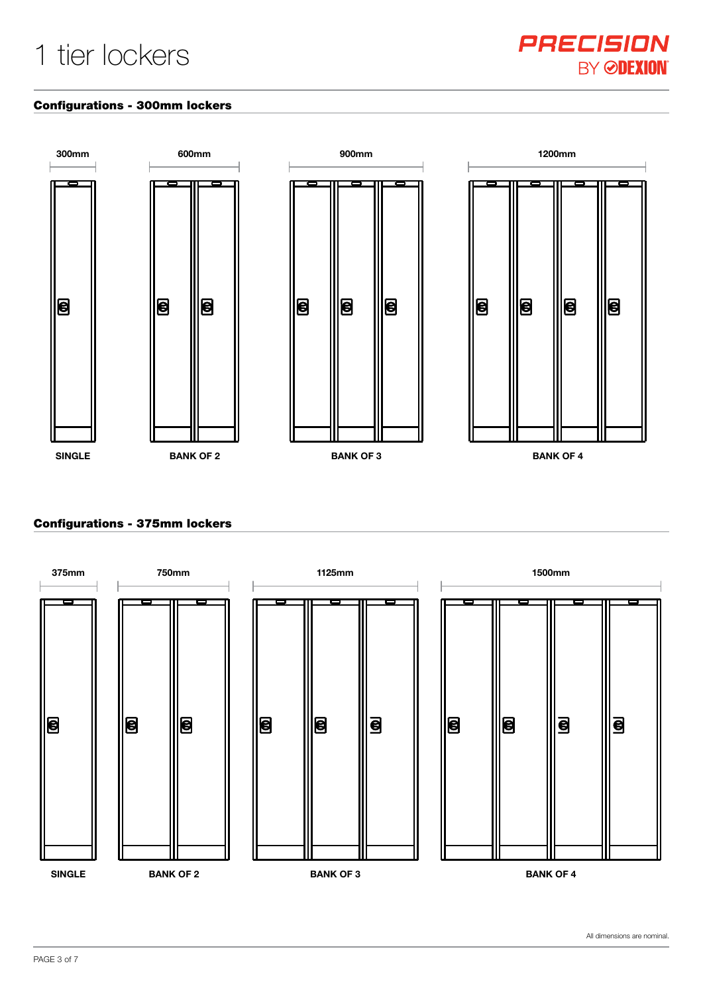# 1 tier lockers



#### Configurations - 300mm lockers



# Configurations - 375mm lockers



All dimensions are nominal.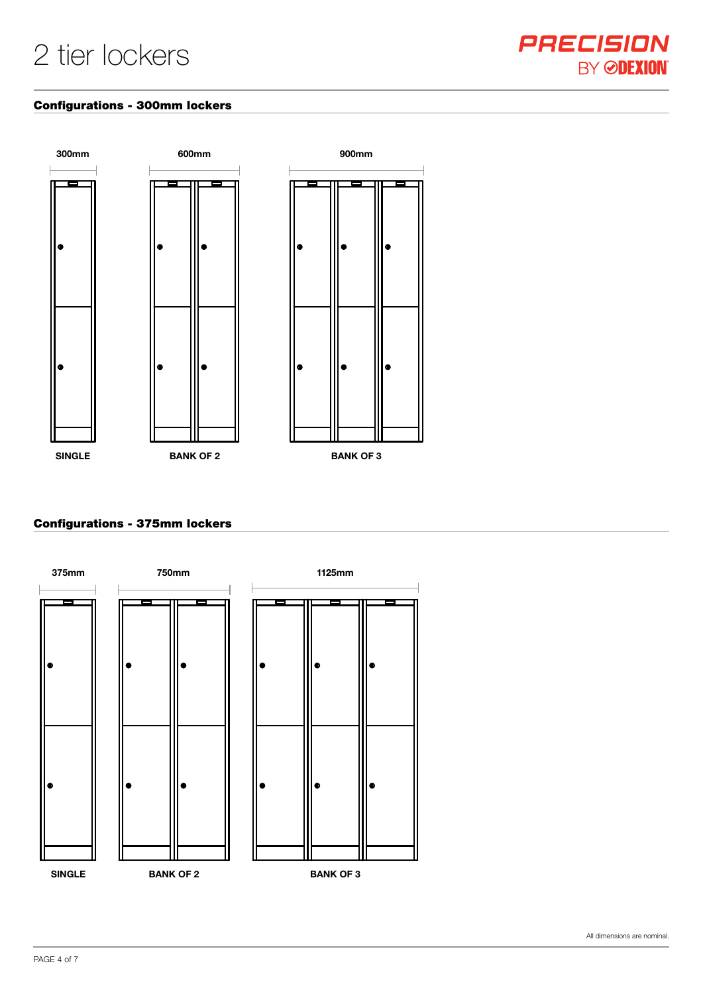

#### Configurations - 300mm lockers



# Configurations - 375mm lockers

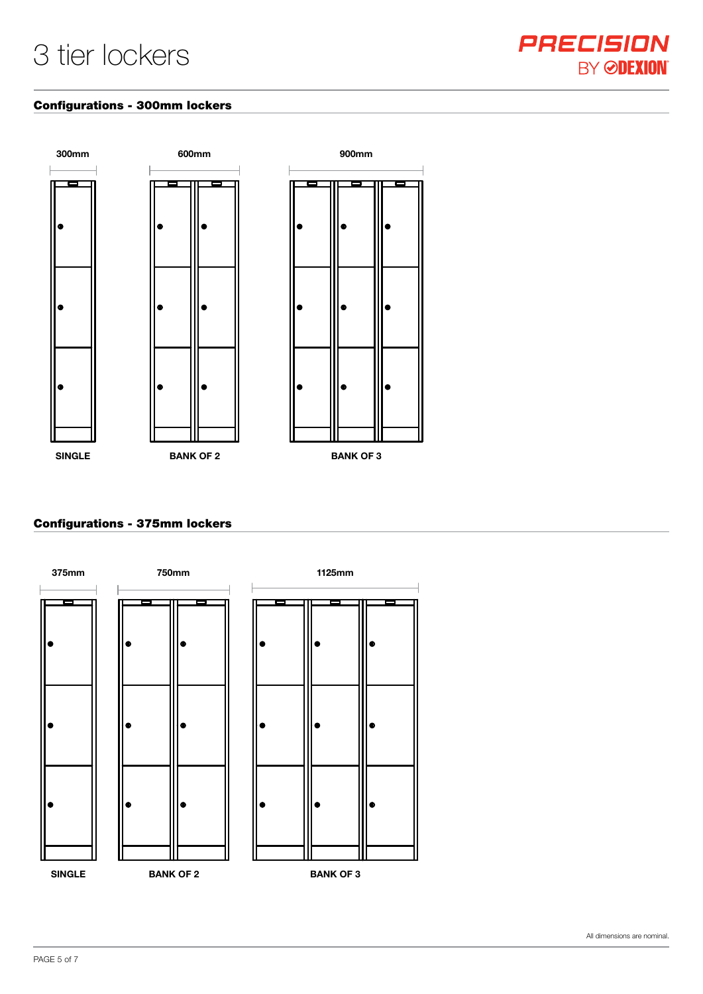#### Configurations - 300mm lockers



# Configurations - 375mm lockers

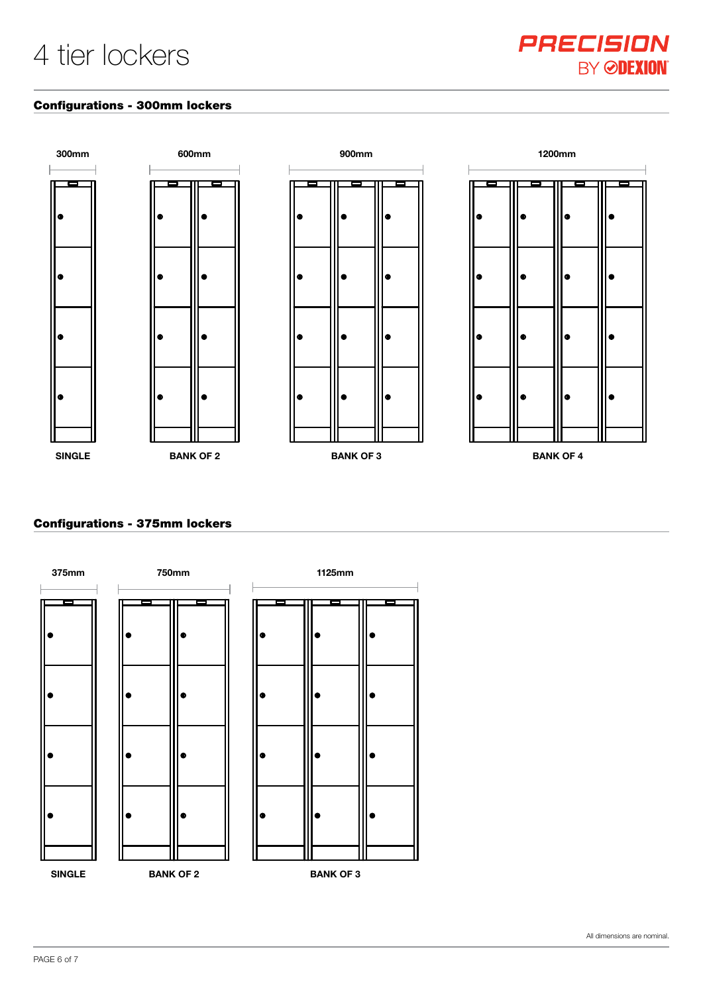#### Configurations - 300mm lockers



# Configurations - 375mm lockers